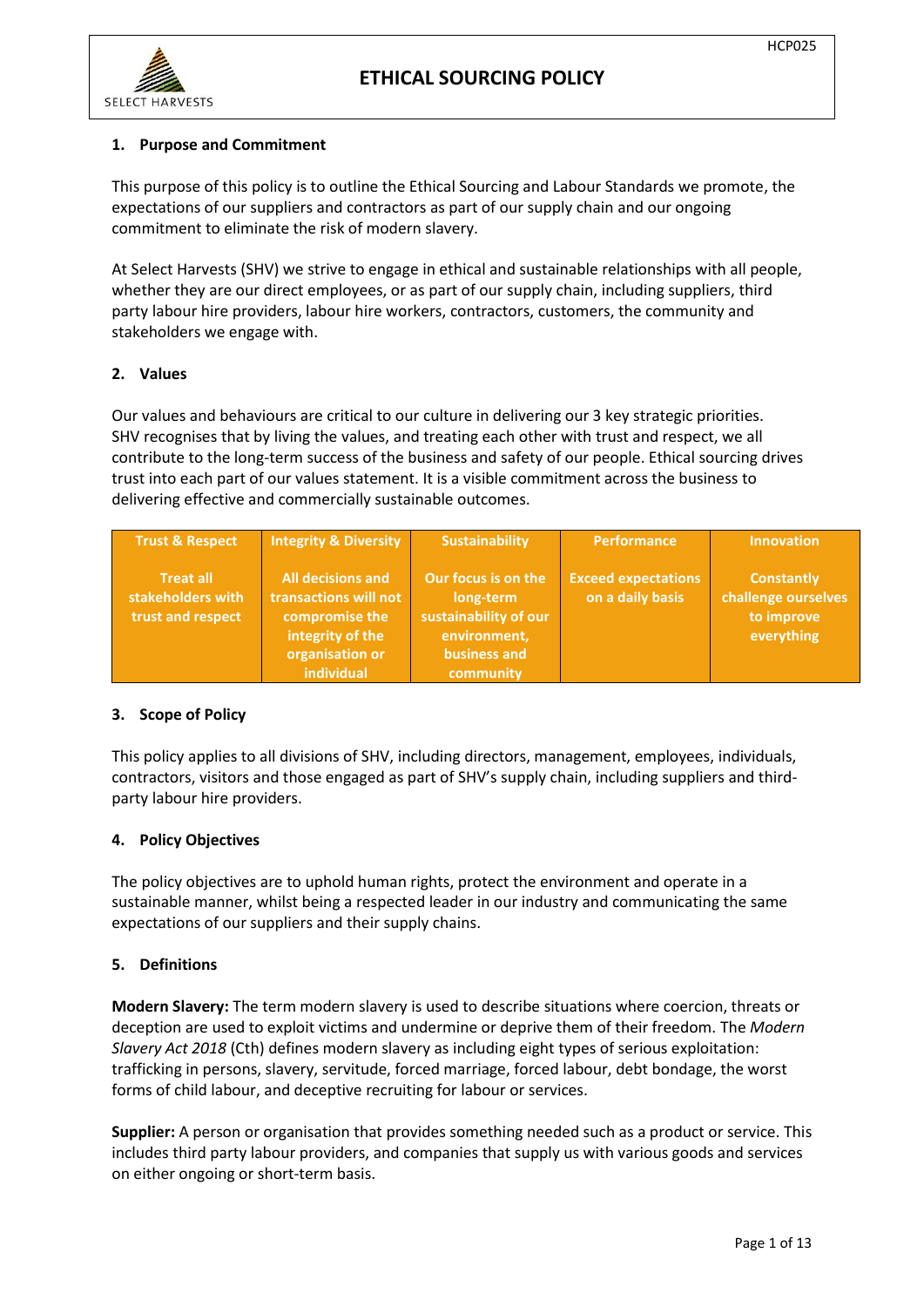

### **1. Purpose and Commitment**

This purpose of this policy is to outline the Ethical Sourcing and Labour Standards we promote, the expectations of our suppliers and contractors as part of our supply chain and our ongoing commitment to eliminate the risk of modern slavery.

At Select Harvests (SHV) we strive to engage in ethical and sustainable relationships with all people, whether they are our direct employees, or as part of our supply chain, including suppliers, third party labour hire providers, labour hire workers, contractors, customers, the community and stakeholders we engage with.

### **2. Values**

Our values and behaviours are critical to our culture in delivering our 3 key strategic priorities. SHV recognises that by living the values, and treating each other with trust and respect, we all contribute to the long-term success of the business and safety of our people. Ethical sourcing drives trust into each part of our values statement. It is a visible commitment across the business to delivering effective and commercially sustainable outcomes.

| <b>Trust &amp; Respect</b>                                 | <b>Integrity &amp; Diversity</b>                                                                                         | <b>Sustainability</b>                                                                                  | <b>Performance</b>                             | <b>Innovation</b>                                                    |
|------------------------------------------------------------|--------------------------------------------------------------------------------------------------------------------------|--------------------------------------------------------------------------------------------------------|------------------------------------------------|----------------------------------------------------------------------|
| <b>Treat all</b><br>stakeholders with<br>trust and respect | <b>All decisions and</b><br>transactions will not<br>compromise the<br>integrity of the<br>organisation or<br>individual | Our focus is on the<br>long-term<br>sustainability of our<br>environment,<br>business and<br>community | <b>Exceed expectations</b><br>on a daily basis | <b>Constantly</b><br>challenge ourselves<br>to improve<br>everything |

### **3. Scope of Policy**

This policy applies to all divisions of SHV, including directors, management, employees, individuals, contractors, visitors and those engaged as part of SHV's supply chain, including suppliers and thirdparty labour hire providers.

### **4. Policy Objectives**

The policy objectives are to uphold human rights, protect the environment and operate in a sustainable manner, whilst being a respected leader in our industry and communicating the same expectations of our suppliers and their supply chains.

### **5. Definitions**

**Modern Slavery:** The term modern slavery is used to describe situations where coercion, threats or deception are used to exploit victims and undermine or deprive them of their freedom. The *Modern Slavery Act 2018* (Cth) defines modern slavery as including eight types of serious exploitation: trafficking in persons, slavery, servitude, forced marriage, forced labour, debt bondage, the worst forms of child labour, and deceptive recruiting for labour or services.

**Supplier:** A person or organisation that provides something needed such as a product or service. This includes third party labour providers, and companies that supply us with various goods and services on either ongoing or short-term basis.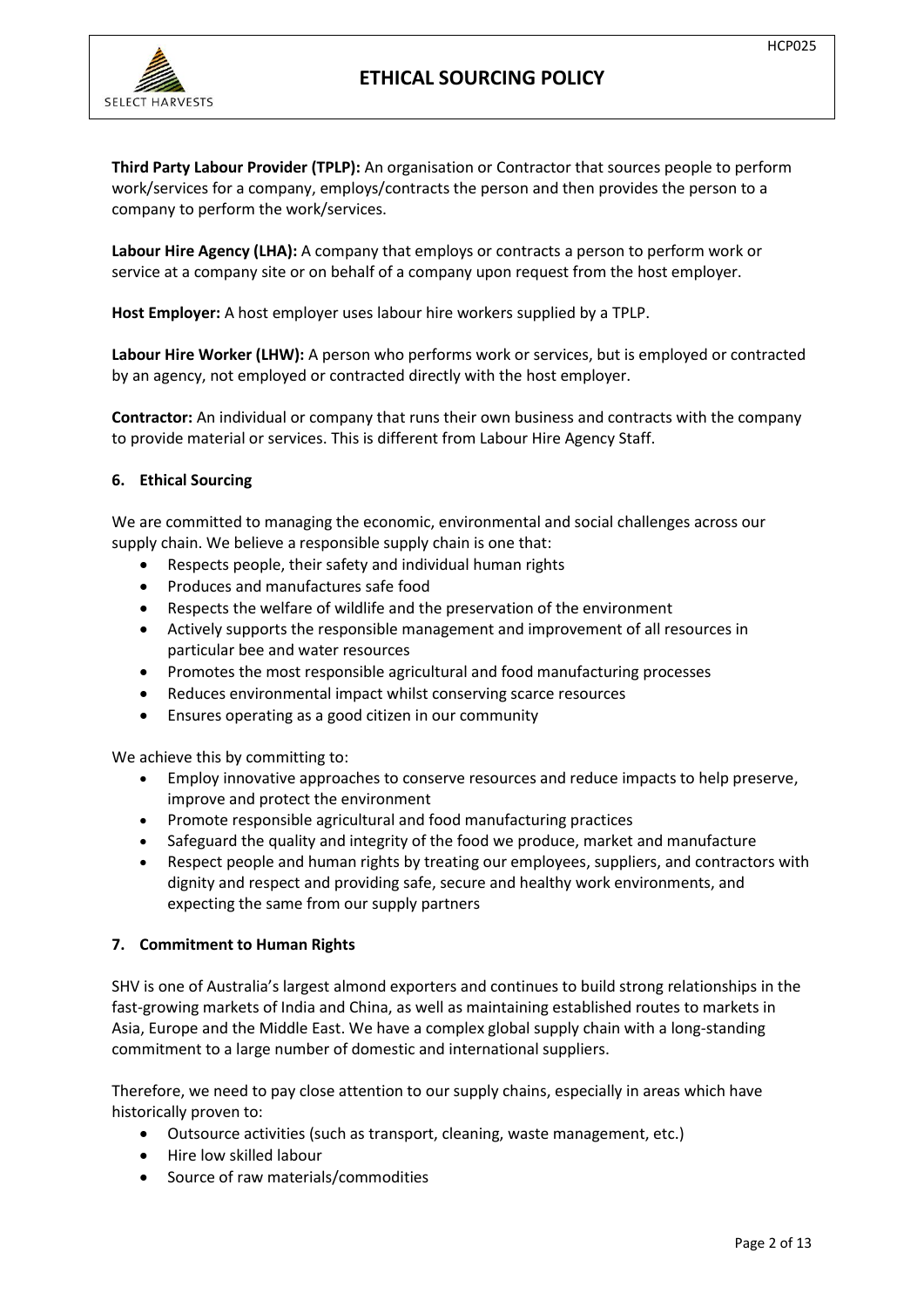

**Third Party Labour Provider (TPLP):** An organisation or Contractor that sources people to perform work/services for a company, employs/contracts the person and then provides the person to a company to perform the work/services.

**Labour Hire Agency (LHA):** A company that employs or contracts a person to perform work or service at a company site or on behalf of a company upon request from the host employer.

**Host Employer:** A host employer uses labour hire workers supplied by a TPLP.

**Labour Hire Worker (LHW):** A person who performs work or services, but is employed or contracted by an agency, not employed or contracted directly with the host employer.

**Contractor:** An individual or company that runs their own business and contracts with the company to provide material or services. This is different from Labour Hire Agency Staff.

### **6. Ethical Sourcing**

We are committed to managing the economic, environmental and social challenges across our supply chain. We believe a responsible supply chain is one that:

- Respects people, their safety and individual human rights
- Produces and manufactures safe food
- Respects the welfare of wildlife and the preservation of the environment
- Actively supports the responsible management and improvement of all resources in particular bee and water resources
- Promotes the most responsible agricultural and food manufacturing processes
- Reduces environmental impact whilst conserving scarce resources
- Ensures operating as a good citizen in our community

We achieve this by committing to:

- Employ innovative approaches to conserve resources and reduce impacts to help preserve, improve and protect the environment
- Promote responsible agricultural and food manufacturing practices
- Safeguard the quality and integrity of the food we produce, market and manufacture
- Respect people and human rights by treating our employees, suppliers, and contractors with dignity and respect and providing safe, secure and healthy work environments, and expecting the same from our supply partners

### **7. Commitment to Human Rights**

SHV is one of Australia's largest almond exporters and continues to build strong relationships in the fast-growing markets of India and China, as well as maintaining established routes to markets in Asia, Europe and the Middle East. We have a complex global supply chain with a long-standing commitment to a large number of domestic and international suppliers.

Therefore, we need to pay close attention to our supply chains, especially in areas which have historically proven to:

- Outsource activities (such as transport, cleaning, waste management, etc.)
- Hire low skilled labour
- Source of raw materials/commodities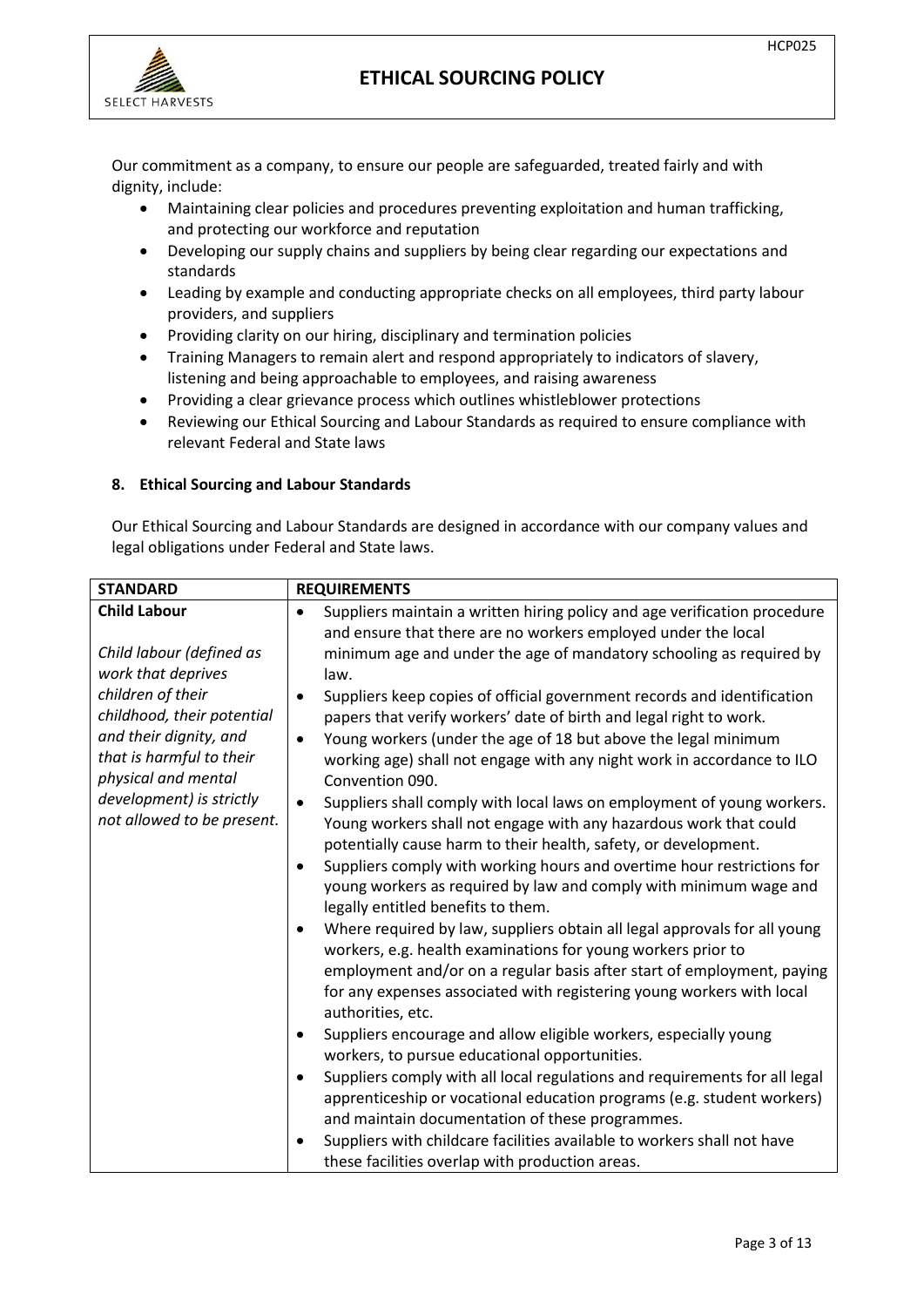

Our commitment as a company, to ensure our people are safeguarded, treated fairly and with dignity, include:

- Maintaining clear policies and procedures preventing exploitation and human trafficking, and protecting our workforce and reputation
- Developing our supply chains and suppliers by being clear regarding our expectations and standards
- Leading by example and conducting appropriate checks on all employees, third party labour providers, and suppliers
- Providing clarity on our hiring, disciplinary and termination policies
- Training Managers to remain alert and respond appropriately to indicators of slavery, listening and being approachable to employees, and raising awareness
- Providing a clear grievance process which outlines whistleblower protections
- Reviewing our Ethical Sourcing and Labour Standards as required to ensure compliance with relevant Federal and State laws

## **8. Ethical Sourcing and Labour Standards**

Our Ethical Sourcing and Labour Standards are designed in accordance with our company values and legal obligations under Federal and State laws.

| <b>STANDARD</b>                                                                                                                                                                                                                          | <b>REQUIREMENTS</b>                                                                                                                                                                                                                                                                                                                                                                                                                                                                                                                                                                                                                                                                                                                                                                                                                                                                                                                                           |  |  |
|------------------------------------------------------------------------------------------------------------------------------------------------------------------------------------------------------------------------------------------|---------------------------------------------------------------------------------------------------------------------------------------------------------------------------------------------------------------------------------------------------------------------------------------------------------------------------------------------------------------------------------------------------------------------------------------------------------------------------------------------------------------------------------------------------------------------------------------------------------------------------------------------------------------------------------------------------------------------------------------------------------------------------------------------------------------------------------------------------------------------------------------------------------------------------------------------------------------|--|--|
| <b>Child Labour</b>                                                                                                                                                                                                                      | Suppliers maintain a written hiring policy and age verification procedure<br>$\bullet$                                                                                                                                                                                                                                                                                                                                                                                                                                                                                                                                                                                                                                                                                                                                                                                                                                                                        |  |  |
| Child labour (defined as<br>work that deprives<br>children of their<br>childhood, their potential<br>and their dignity, and<br>that is harmful to their<br>physical and mental<br>development) is strictly<br>not allowed to be present. | and ensure that there are no workers employed under the local<br>minimum age and under the age of mandatory schooling as required by<br>law.<br>Suppliers keep copies of official government records and identification<br>papers that verify workers' date of birth and legal right to work.<br>Young workers (under the age of 18 but above the legal minimum<br>$\bullet$<br>working age) shall not engage with any night work in accordance to ILO<br>Convention 090.<br>Suppliers shall comply with local laws on employment of young workers.<br>Young workers shall not engage with any hazardous work that could<br>potentially cause harm to their health, safety, or development.<br>Suppliers comply with working hours and overtime hour restrictions for<br>young workers as required by law and comply with minimum wage and<br>legally entitled benefits to them.<br>Where required by law, suppliers obtain all legal approvals for all young |  |  |
|                                                                                                                                                                                                                                          | workers, e.g. health examinations for young workers prior to<br>employment and/or on a regular basis after start of employment, paying<br>for any expenses associated with registering young workers with local<br>authorities, etc.<br>Suppliers encourage and allow eligible workers, especially young<br>workers, to pursue educational opportunities.<br>Suppliers comply with all local regulations and requirements for all legal<br>apprenticeship or vocational education programs (e.g. student workers)<br>and maintain documentation of these programmes.<br>Suppliers with childcare facilities available to workers shall not have<br>these facilities overlap with production areas.                                                                                                                                                                                                                                                            |  |  |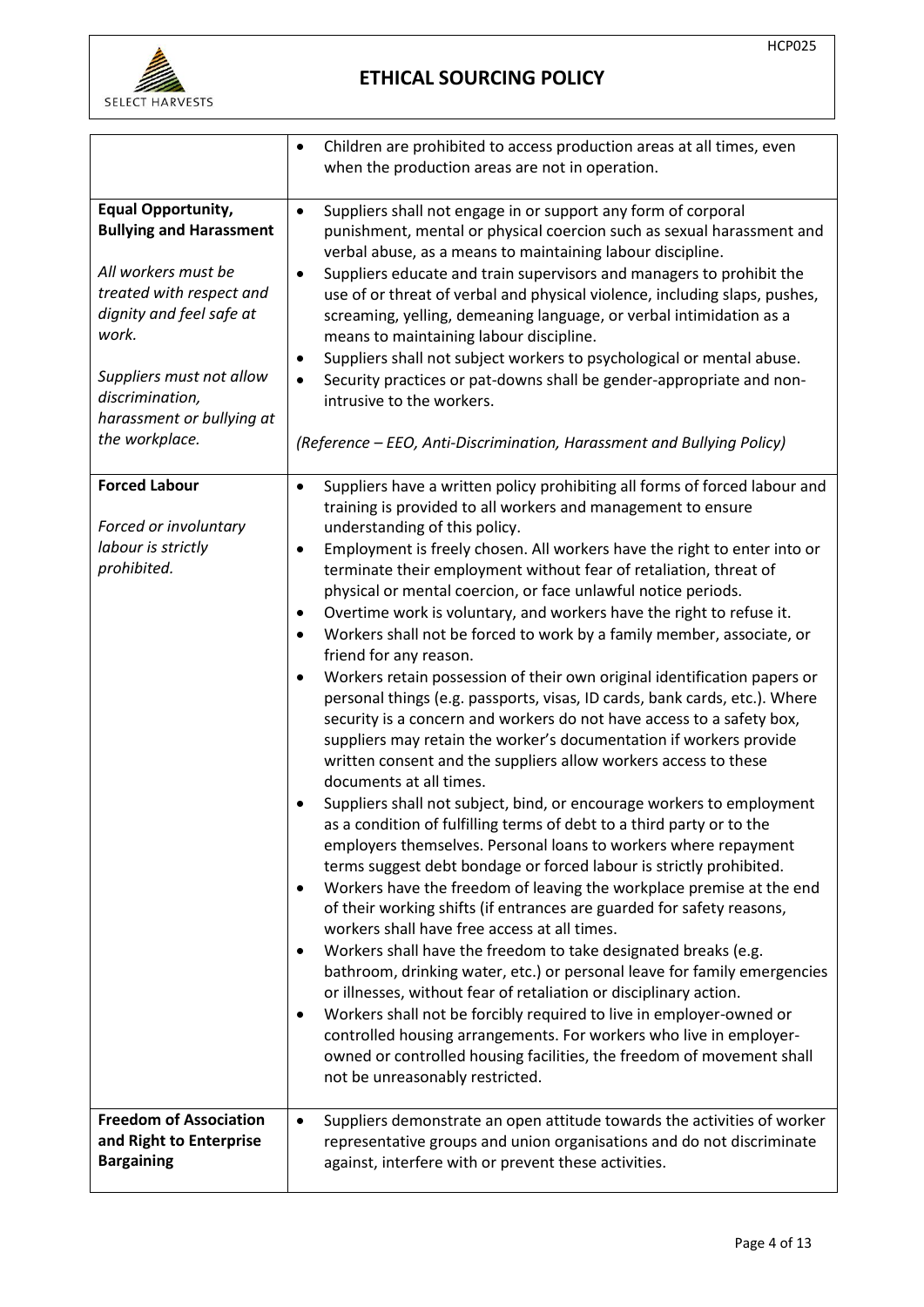

|                                                                                                                                                                                                                                                   | Children are prohibited to access production areas at all times, even<br>$\bullet$<br>when the production areas are not in operation.                                                                                                                                                                                                                                                                                                                                                                                                                                                                                                                                                                                                                                                                                                                                                                                                                                                                                                                                                                                                                                                                                                                                                                                                                                                                                                                                                                                                                                                                                                                                                                                                                                                                                                                                                                                                                                                                                               |
|---------------------------------------------------------------------------------------------------------------------------------------------------------------------------------------------------------------------------------------------------|-------------------------------------------------------------------------------------------------------------------------------------------------------------------------------------------------------------------------------------------------------------------------------------------------------------------------------------------------------------------------------------------------------------------------------------------------------------------------------------------------------------------------------------------------------------------------------------------------------------------------------------------------------------------------------------------------------------------------------------------------------------------------------------------------------------------------------------------------------------------------------------------------------------------------------------------------------------------------------------------------------------------------------------------------------------------------------------------------------------------------------------------------------------------------------------------------------------------------------------------------------------------------------------------------------------------------------------------------------------------------------------------------------------------------------------------------------------------------------------------------------------------------------------------------------------------------------------------------------------------------------------------------------------------------------------------------------------------------------------------------------------------------------------------------------------------------------------------------------------------------------------------------------------------------------------------------------------------------------------------------------------------------------------|
| <b>Equal Opportunity,</b><br><b>Bullying and Harassment</b><br>All workers must be<br>treated with respect and<br>dignity and feel safe at<br>work.<br>Suppliers must not allow<br>discrimination,<br>harassment or bullying at<br>the workplace. | Suppliers shall not engage in or support any form of corporal<br>$\bullet$<br>punishment, mental or physical coercion such as sexual harassment and<br>verbal abuse, as a means to maintaining labour discipline.<br>Suppliers educate and train supervisors and managers to prohibit the<br>$\bullet$<br>use of or threat of verbal and physical violence, including slaps, pushes,<br>screaming, yelling, demeaning language, or verbal intimidation as a<br>means to maintaining labour discipline.<br>Suppliers shall not subject workers to psychological or mental abuse.<br>٠<br>Security practices or pat-downs shall be gender-appropriate and non-<br>$\bullet$<br>intrusive to the workers.<br>(Reference – EEO, Anti-Discrimination, Harassment and Bullying Policy)                                                                                                                                                                                                                                                                                                                                                                                                                                                                                                                                                                                                                                                                                                                                                                                                                                                                                                                                                                                                                                                                                                                                                                                                                                                    |
| <b>Forced Labour</b><br>Forced or involuntary<br>labour is strictly<br>prohibited.                                                                                                                                                                | Suppliers have a written policy prohibiting all forms of forced labour and<br>$\bullet$<br>training is provided to all workers and management to ensure<br>understanding of this policy.<br>Employment is freely chosen. All workers have the right to enter into or<br>$\bullet$<br>terminate their employment without fear of retaliation, threat of<br>physical or mental coercion, or face unlawful notice periods.<br>Overtime work is voluntary, and workers have the right to refuse it.<br>٠<br>Workers shall not be forced to work by a family member, associate, or<br>$\bullet$<br>friend for any reason.<br>Workers retain possession of their own original identification papers or<br>$\bullet$<br>personal things (e.g. passports, visas, ID cards, bank cards, etc.). Where<br>security is a concern and workers do not have access to a safety box,<br>suppliers may retain the worker's documentation if workers provide<br>written consent and the suppliers allow workers access to these<br>documents at all times.<br>Suppliers shall not subject, bind, or encourage workers to employment<br>as a condition of fulfilling terms of debt to a third party or to the<br>employers themselves. Personal loans to workers where repayment<br>terms suggest debt bondage or forced labour is strictly prohibited.<br>Workers have the freedom of leaving the workplace premise at the end<br>$\bullet$<br>of their working shifts (if entrances are guarded for safety reasons,<br>workers shall have free access at all times.<br>Workers shall have the freedom to take designated breaks (e.g.<br>bathroom, drinking water, etc.) or personal leave for family emergencies<br>or illnesses, without fear of retaliation or disciplinary action.<br>Workers shall not be forcibly required to live in employer-owned or<br>٠<br>controlled housing arrangements. For workers who live in employer-<br>owned or controlled housing facilities, the freedom of movement shall<br>not be unreasonably restricted. |
| <b>Freedom of Association</b><br>and Right to Enterprise<br><b>Bargaining</b>                                                                                                                                                                     | Suppliers demonstrate an open attitude towards the activities of worker<br>$\bullet$<br>representative groups and union organisations and do not discriminate<br>against, interfere with or prevent these activities.                                                                                                                                                                                                                                                                                                                                                                                                                                                                                                                                                                                                                                                                                                                                                                                                                                                                                                                                                                                                                                                                                                                                                                                                                                                                                                                                                                                                                                                                                                                                                                                                                                                                                                                                                                                                               |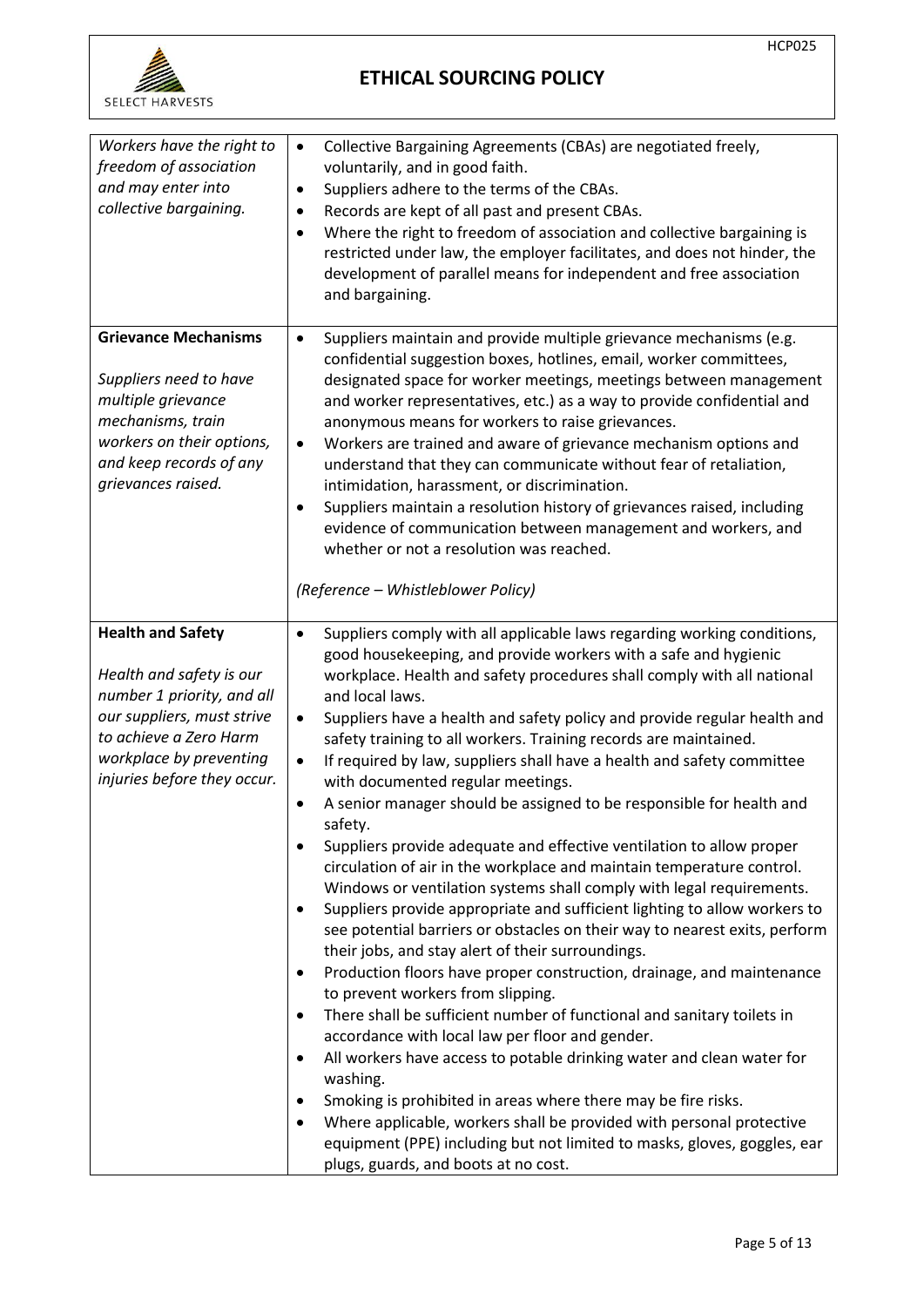

| Workers have the right to<br>freedom of association<br>and may enter into<br>collective bargaining.                                                                                                  | Collective Bargaining Agreements (CBAs) are negotiated freely,<br>$\bullet$<br>voluntarily, and in good faith.<br>Suppliers adhere to the terms of the CBAs.<br>$\bullet$<br>Records are kept of all past and present CBAs.<br>$\bullet$<br>Where the right to freedom of association and collective bargaining is<br>$\bullet$<br>restricted under law, the employer facilitates, and does not hinder, the<br>development of parallel means for independent and free association<br>and bargaining.                                                                                                                                                                                                                                                                                                                                                                                                                                                                                                                                                                                                                                                                         |
|------------------------------------------------------------------------------------------------------------------------------------------------------------------------------------------------------|------------------------------------------------------------------------------------------------------------------------------------------------------------------------------------------------------------------------------------------------------------------------------------------------------------------------------------------------------------------------------------------------------------------------------------------------------------------------------------------------------------------------------------------------------------------------------------------------------------------------------------------------------------------------------------------------------------------------------------------------------------------------------------------------------------------------------------------------------------------------------------------------------------------------------------------------------------------------------------------------------------------------------------------------------------------------------------------------------------------------------------------------------------------------------|
| <b>Grievance Mechanisms</b><br>Suppliers need to have<br>multiple grievance<br>mechanisms, train<br>workers on their options,<br>and keep records of any<br>grievances raised.                       | Suppliers maintain and provide multiple grievance mechanisms (e.g.<br>$\bullet$<br>confidential suggestion boxes, hotlines, email, worker committees,<br>designated space for worker meetings, meetings between management<br>and worker representatives, etc.) as a way to provide confidential and<br>anonymous means for workers to raise grievances.<br>Workers are trained and aware of grievance mechanism options and<br>$\bullet$<br>understand that they can communicate without fear of retaliation,<br>intimidation, harassment, or discrimination.<br>Suppliers maintain a resolution history of grievances raised, including<br>٠<br>evidence of communication between management and workers, and<br>whether or not a resolution was reached.<br>(Reference - Whistleblower Policy)                                                                                                                                                                                                                                                                                                                                                                            |
| <b>Health and Safety</b><br>Health and safety is our<br>number 1 priority, and all<br>our suppliers, must strive<br>to achieve a Zero Harm<br>workplace by preventing<br>injuries before they occur. | Suppliers comply with all applicable laws regarding working conditions,<br>$\bullet$<br>good housekeeping, and provide workers with a safe and hygienic<br>workplace. Health and safety procedures shall comply with all national<br>and local laws.<br>Suppliers have a health and safety policy and provide regular health and<br>$\bullet$<br>safety training to all workers. Training records are maintained.<br>If required by law, suppliers shall have a health and safety committee<br>$\bullet$<br>with documented regular meetings.<br>A senior manager should be assigned to be responsible for health and<br>$\bullet$<br>safety.<br>Suppliers provide adequate and effective ventilation to allow proper<br>$\bullet$<br>circulation of air in the workplace and maintain temperature control.<br>Windows or ventilation systems shall comply with legal requirements.<br>Suppliers provide appropriate and sufficient lighting to allow workers to<br>see potential barriers or obstacles on their way to nearest exits, perform<br>their jobs, and stay alert of their surroundings.<br>Production floors have proper construction, drainage, and maintenance |
|                                                                                                                                                                                                      | to prevent workers from slipping.<br>There shall be sufficient number of functional and sanitary toilets in<br>$\bullet$<br>accordance with local law per floor and gender.<br>All workers have access to potable drinking water and clean water for<br>$\bullet$<br>washing.<br>Smoking is prohibited in areas where there may be fire risks.<br>Where applicable, workers shall be provided with personal protective<br>equipment (PPE) including but not limited to masks, gloves, goggles, ear<br>plugs, guards, and boots at no cost.                                                                                                                                                                                                                                                                                                                                                                                                                                                                                                                                                                                                                                   |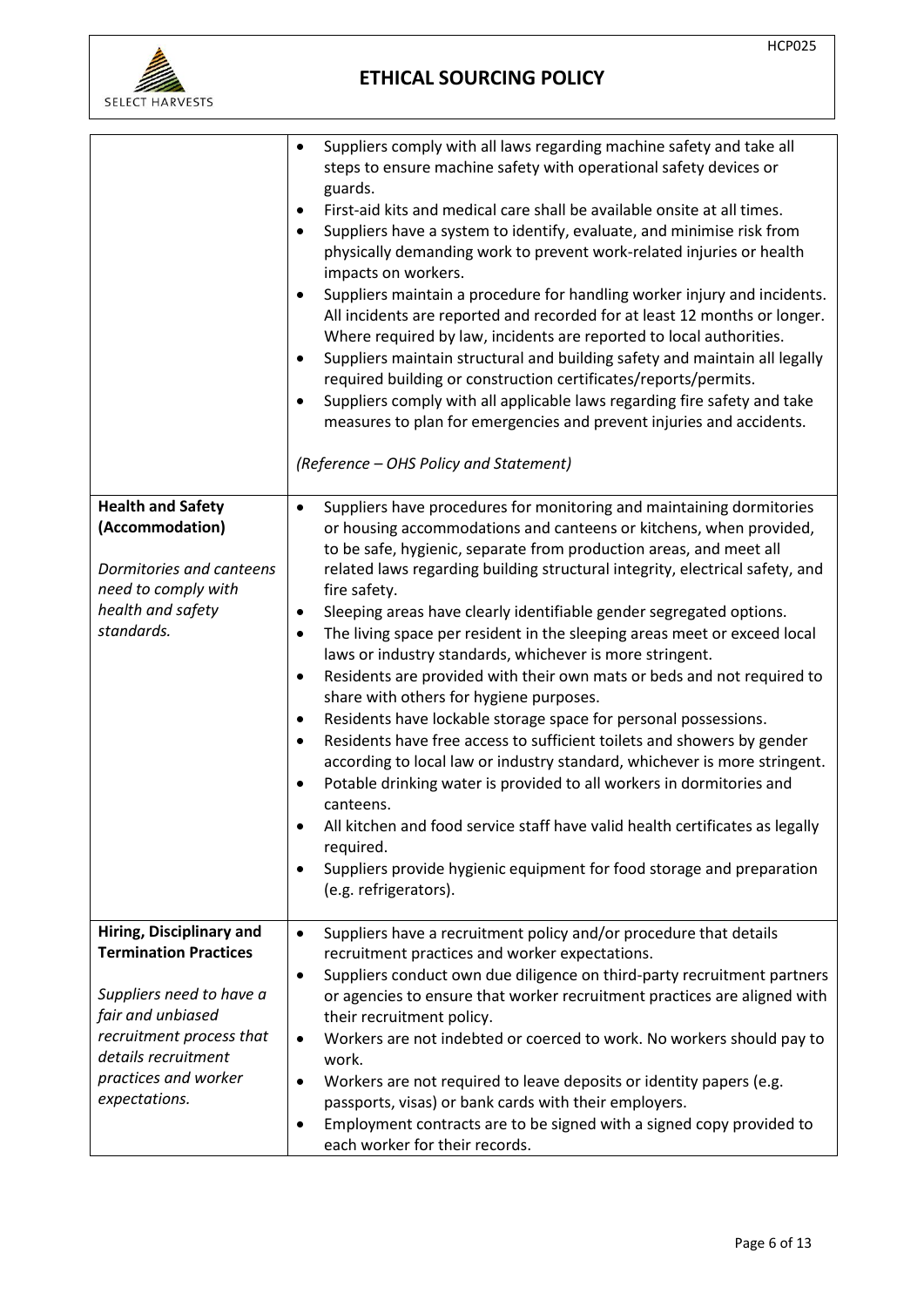



|                                                                                                                                                                                                       | Suppliers comply with all laws regarding machine safety and take all<br>$\bullet$<br>steps to ensure machine safety with operational safety devices or<br>guards.<br>First-aid kits and medical care shall be available onsite at all times.<br>$\bullet$<br>Suppliers have a system to identify, evaluate, and minimise risk from<br>$\bullet$<br>physically demanding work to prevent work-related injuries or health<br>impacts on workers.<br>Suppliers maintain a procedure for handling worker injury and incidents.<br>$\bullet$<br>All incidents are reported and recorded for at least 12 months or longer.<br>Where required by law, incidents are reported to local authorities.<br>Suppliers maintain structural and building safety and maintain all legally<br>$\bullet$<br>required building or construction certificates/reports/permits.<br>Suppliers comply with all applicable laws regarding fire safety and take<br>measures to plan for emergencies and prevent injuries and accidents.<br>(Reference - OHS Policy and Statement)                                                                                                                                                                                               |
|-------------------------------------------------------------------------------------------------------------------------------------------------------------------------------------------------------|-------------------------------------------------------------------------------------------------------------------------------------------------------------------------------------------------------------------------------------------------------------------------------------------------------------------------------------------------------------------------------------------------------------------------------------------------------------------------------------------------------------------------------------------------------------------------------------------------------------------------------------------------------------------------------------------------------------------------------------------------------------------------------------------------------------------------------------------------------------------------------------------------------------------------------------------------------------------------------------------------------------------------------------------------------------------------------------------------------------------------------------------------------------------------------------------------------------------------------------------------------|
| <b>Health and Safety</b><br>(Accommodation)<br>Dormitories and canteens<br>need to comply with<br>health and safety<br>standards.                                                                     | Suppliers have procedures for monitoring and maintaining dormitories<br>$\bullet$<br>or housing accommodations and canteens or kitchens, when provided,<br>to be safe, hygienic, separate from production areas, and meet all<br>related laws regarding building structural integrity, electrical safety, and<br>fire safety.<br>Sleeping areas have clearly identifiable gender segregated options.<br>$\bullet$<br>The living space per resident in the sleeping areas meet or exceed local<br>$\bullet$<br>laws or industry standards, whichever is more stringent.<br>Residents are provided with their own mats or beds and not required to<br>$\bullet$<br>share with others for hygiene purposes.<br>Residents have lockable storage space for personal possessions.<br>٠<br>Residents have free access to sufficient toilets and showers by gender<br>$\bullet$<br>according to local law or industry standard, whichever is more stringent.<br>Potable drinking water is provided to all workers in dormitories and<br>canteens.<br>All kitchen and food service staff have valid health certificates as legally<br>required.<br>Suppliers provide hygienic equipment for food storage and preparation<br>$\bullet$<br>(e.g. refrigerators). |
| Hiring, Disciplinary and<br><b>Termination Practices</b><br>Suppliers need to have a<br>fair and unbiased<br>recruitment process that<br>details recruitment<br>practices and worker<br>expectations. | Suppliers have a recruitment policy and/or procedure that details<br>$\bullet$<br>recruitment practices and worker expectations.<br>Suppliers conduct own due diligence on third-party recruitment partners<br>$\bullet$<br>or agencies to ensure that worker recruitment practices are aligned with<br>their recruitment policy.<br>Workers are not indebted or coerced to work. No workers should pay to<br>$\bullet$<br>work.<br>Workers are not required to leave deposits or identity papers (e.g.<br>passports, visas) or bank cards with their employers.<br>Employment contracts are to be signed with a signed copy provided to<br>$\bullet$<br>each worker for their records.                                                                                                                                                                                                                                                                                                                                                                                                                                                                                                                                                               |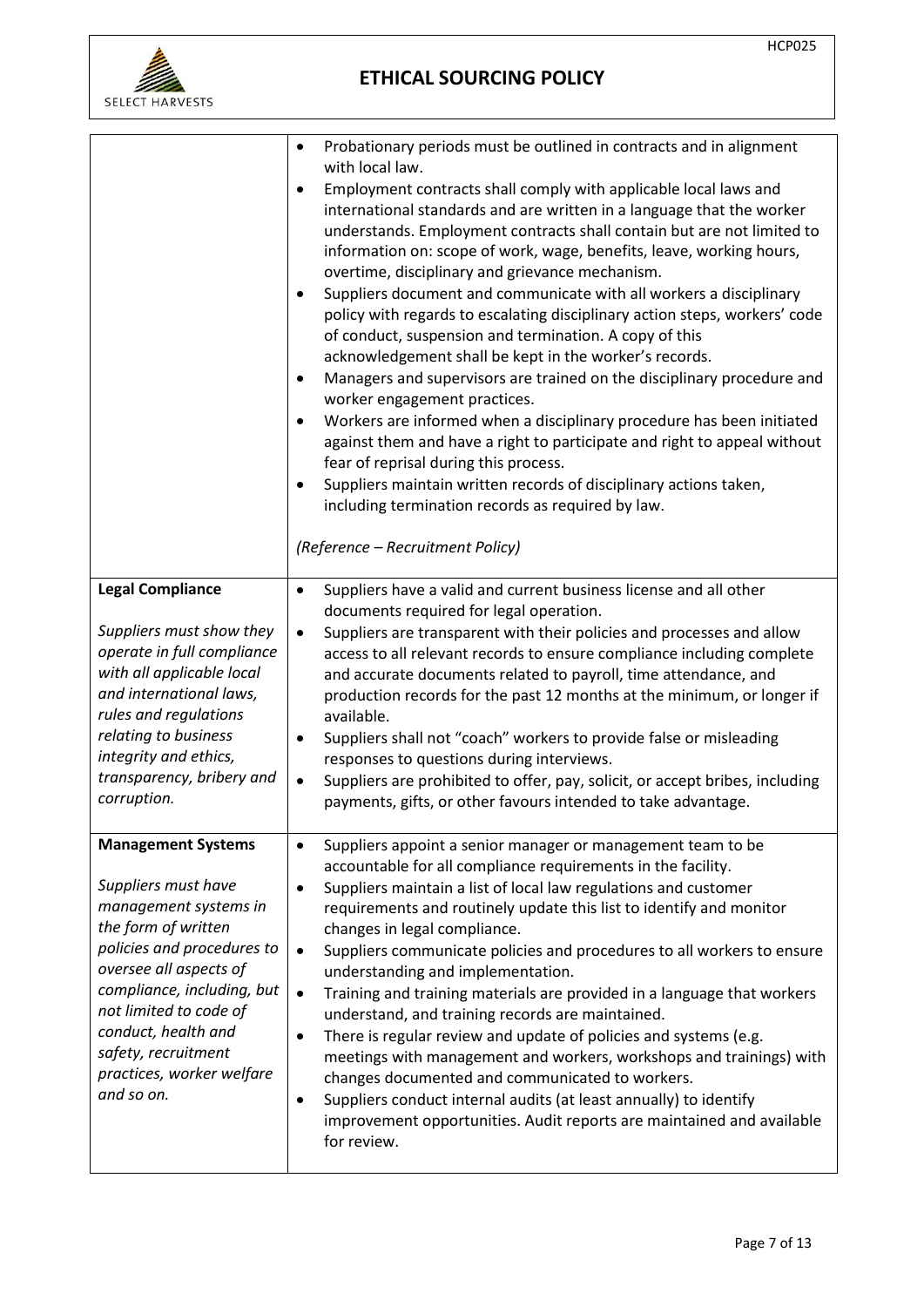

|                                                                                                                                                                                                                                                                                                           | Probationary periods must be outlined in contracts and in alignment                                                                                                                                                                                                                                                                                                                                                                                                                                                                                                                                                                                                                                                                                                                                                                                                                                                                                                                                                                                                                                                                                    |
|-----------------------------------------------------------------------------------------------------------------------------------------------------------------------------------------------------------------------------------------------------------------------------------------------------------|--------------------------------------------------------------------------------------------------------------------------------------------------------------------------------------------------------------------------------------------------------------------------------------------------------------------------------------------------------------------------------------------------------------------------------------------------------------------------------------------------------------------------------------------------------------------------------------------------------------------------------------------------------------------------------------------------------------------------------------------------------------------------------------------------------------------------------------------------------------------------------------------------------------------------------------------------------------------------------------------------------------------------------------------------------------------------------------------------------------------------------------------------------|
|                                                                                                                                                                                                                                                                                                           | with local law.<br>Employment contracts shall comply with applicable local laws and<br>$\bullet$<br>international standards and are written in a language that the worker<br>understands. Employment contracts shall contain but are not limited to<br>information on: scope of work, wage, benefits, leave, working hours,<br>overtime, disciplinary and grievance mechanism.<br>Suppliers document and communicate with all workers a disciplinary<br>$\bullet$<br>policy with regards to escalating disciplinary action steps, workers' code<br>of conduct, suspension and termination. A copy of this<br>acknowledgement shall be kept in the worker's records.<br>Managers and supervisors are trained on the disciplinary procedure and<br>worker engagement practices.<br>Workers are informed when a disciplinary procedure has been initiated<br>$\bullet$<br>against them and have a right to participate and right to appeal without<br>fear of reprisal during this process.<br>Suppliers maintain written records of disciplinary actions taken,<br>including termination records as required by law.<br>(Reference - Recruitment Policy) |
| <b>Legal Compliance</b>                                                                                                                                                                                                                                                                                   | Suppliers have a valid and current business license and all other<br>$\bullet$                                                                                                                                                                                                                                                                                                                                                                                                                                                                                                                                                                                                                                                                                                                                                                                                                                                                                                                                                                                                                                                                         |
| Suppliers must show they<br>operate in full compliance<br>with all applicable local<br>and international laws,<br>rules and regulations<br>relating to business<br>integrity and ethics,<br>transparency, bribery and<br>corruption.                                                                      | documents required for legal operation.<br>Suppliers are transparent with their policies and processes and allow<br>$\bullet$<br>access to all relevant records to ensure compliance including complete<br>and accurate documents related to payroll, time attendance, and<br>production records for the past 12 months at the minimum, or longer if<br>available.<br>Suppliers shall not "coach" workers to provide false or misleading<br>$\bullet$<br>responses to questions during interviews.<br>Suppliers are prohibited to offer, pay, solicit, or accept bribes, including<br>$\bullet$<br>payments, gifts, or other favours intended to take advantage.                                                                                                                                                                                                                                                                                                                                                                                                                                                                                       |
| <b>Management Systems</b><br>Suppliers must have<br>management systems in<br>the form of written<br>policies and procedures to<br>oversee all aspects of<br>compliance, including, but<br>not limited to code of<br>conduct, health and<br>safety, recruitment<br>practices, worker welfare<br>and so on. | Suppliers appoint a senior manager or management team to be<br>accountable for all compliance requirements in the facility.<br>Suppliers maintain a list of local law regulations and customer<br>$\bullet$<br>requirements and routinely update this list to identify and monitor<br>changes in legal compliance.<br>Suppliers communicate policies and procedures to all workers to ensure<br>$\bullet$<br>understanding and implementation.<br>Training and training materials are provided in a language that workers<br>$\bullet$<br>understand, and training records are maintained.<br>There is regular review and update of policies and systems (e.g.<br>$\bullet$<br>meetings with management and workers, workshops and trainings) with<br>changes documented and communicated to workers.<br>Suppliers conduct internal audits (at least annually) to identify<br>$\bullet$<br>improvement opportunities. Audit reports are maintained and available<br>for review.                                                                                                                                                                        |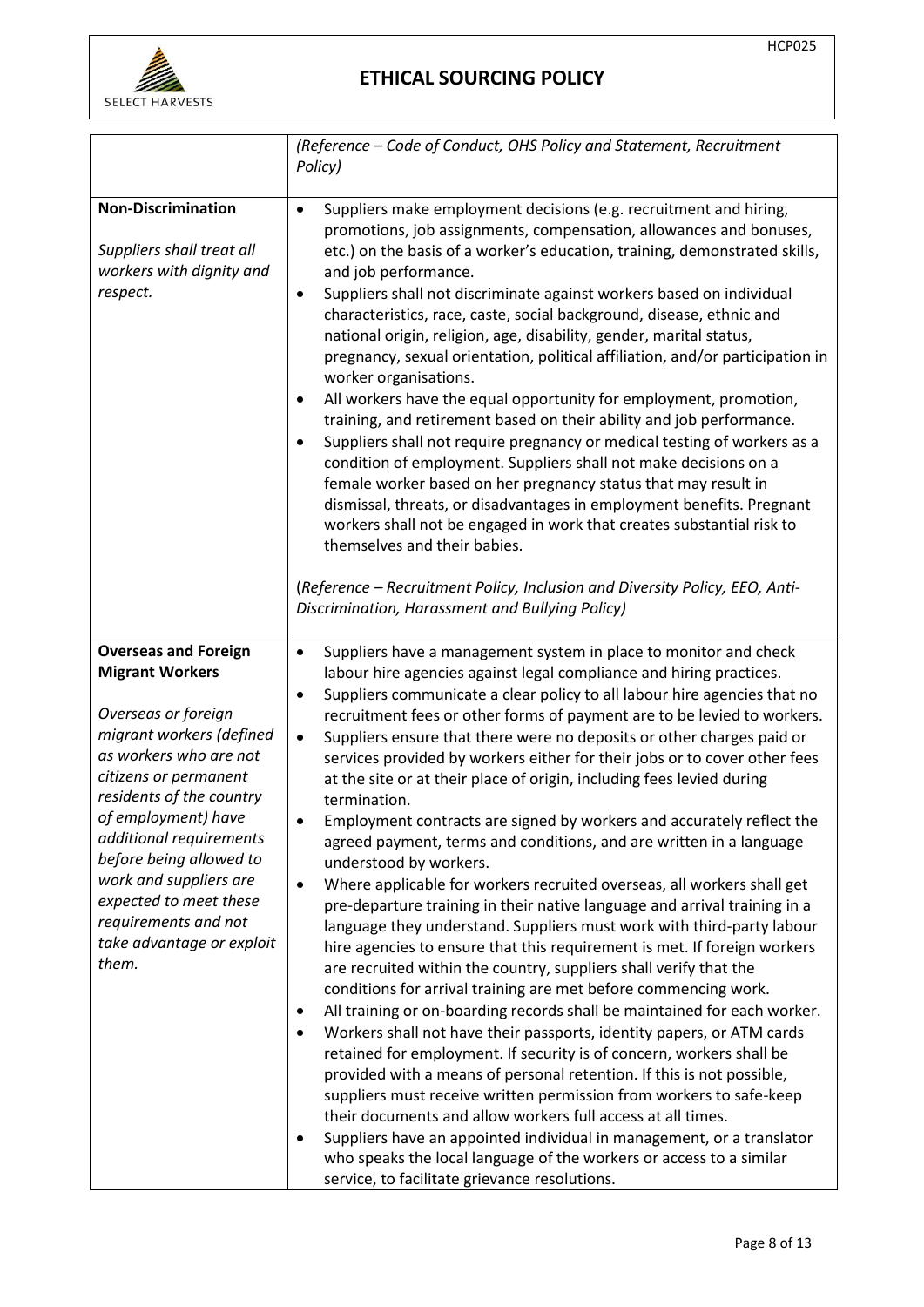

|                                                                                                                                                                                                                                                                                                                                                                                        | (Reference – Code of Conduct, OHS Policy and Statement, Recruitment<br>Policy)                                                                                                                                                                                                                                                                                                                                                                                                                                                                                                                                                                                                                                                                                                                                                                                                                                                                                                                                                                                                                                                                                                                                                                                                                                                                                                                                                                                                                                                                                                                                                                                                                                                                                                                                                                                                                              |
|----------------------------------------------------------------------------------------------------------------------------------------------------------------------------------------------------------------------------------------------------------------------------------------------------------------------------------------------------------------------------------------|-------------------------------------------------------------------------------------------------------------------------------------------------------------------------------------------------------------------------------------------------------------------------------------------------------------------------------------------------------------------------------------------------------------------------------------------------------------------------------------------------------------------------------------------------------------------------------------------------------------------------------------------------------------------------------------------------------------------------------------------------------------------------------------------------------------------------------------------------------------------------------------------------------------------------------------------------------------------------------------------------------------------------------------------------------------------------------------------------------------------------------------------------------------------------------------------------------------------------------------------------------------------------------------------------------------------------------------------------------------------------------------------------------------------------------------------------------------------------------------------------------------------------------------------------------------------------------------------------------------------------------------------------------------------------------------------------------------------------------------------------------------------------------------------------------------------------------------------------------------------------------------------------------------|
| <b>Non-Discrimination</b><br>Suppliers shall treat all<br>workers with dignity and<br>respect.                                                                                                                                                                                                                                                                                         | Suppliers make employment decisions (e.g. recruitment and hiring,<br>$\bullet$<br>promotions, job assignments, compensation, allowances and bonuses,<br>etc.) on the basis of a worker's education, training, demonstrated skills,<br>and job performance.<br>Suppliers shall not discriminate against workers based on individual<br>٠<br>characteristics, race, caste, social background, disease, ethnic and<br>national origin, religion, age, disability, gender, marital status,<br>pregnancy, sexual orientation, political affiliation, and/or participation in<br>worker organisations.<br>All workers have the equal opportunity for employment, promotion,<br>training, and retirement based on their ability and job performance.<br>Suppliers shall not require pregnancy or medical testing of workers as a<br>$\bullet$<br>condition of employment. Suppliers shall not make decisions on a<br>female worker based on her pregnancy status that may result in<br>dismissal, threats, or disadvantages in employment benefits. Pregnant<br>workers shall not be engaged in work that creates substantial risk to<br>themselves and their babies.<br>(Reference - Recruitment Policy, Inclusion and Diversity Policy, EEO, Anti-<br>Discrimination, Harassment and Bullying Policy)                                                                                                                                                                                                                                                                                                                                                                                                                                                                                                                                                                                                            |
| <b>Overseas and Foreign</b><br><b>Migrant Workers</b><br>Overseas or foreign<br>migrant workers (defined<br>as workers who are not<br>citizens or permanent<br>residents of the country<br>of employment) have<br>additional requirements<br>before being allowed to<br>work and suppliers are<br>expected to meet these<br>requirements and not<br>take advantage or exploit<br>them. | Suppliers have a management system in place to monitor and check<br>$\bullet$<br>labour hire agencies against legal compliance and hiring practices.<br>Suppliers communicate a clear policy to all labour hire agencies that no<br>٠<br>recruitment fees or other forms of payment are to be levied to workers.<br>Suppliers ensure that there were no deposits or other charges paid or<br>$\bullet$<br>services provided by workers either for their jobs or to cover other fees<br>at the site or at their place of origin, including fees levied during<br>termination.<br>Employment contracts are signed by workers and accurately reflect the<br>$\bullet$<br>agreed payment, terms and conditions, and are written in a language<br>understood by workers.<br>Where applicable for workers recruited overseas, all workers shall get<br>$\bullet$<br>pre-departure training in their native language and arrival training in a<br>language they understand. Suppliers must work with third-party labour<br>hire agencies to ensure that this requirement is met. If foreign workers<br>are recruited within the country, suppliers shall verify that the<br>conditions for arrival training are met before commencing work.<br>All training or on-boarding records shall be maintained for each worker.<br>$\bullet$<br>Workers shall not have their passports, identity papers, or ATM cards<br>$\bullet$<br>retained for employment. If security is of concern, workers shall be<br>provided with a means of personal retention. If this is not possible,<br>suppliers must receive written permission from workers to safe-keep<br>their documents and allow workers full access at all times.<br>Suppliers have an appointed individual in management, or a translator<br>who speaks the local language of the workers or access to a similar<br>service, to facilitate grievance resolutions. |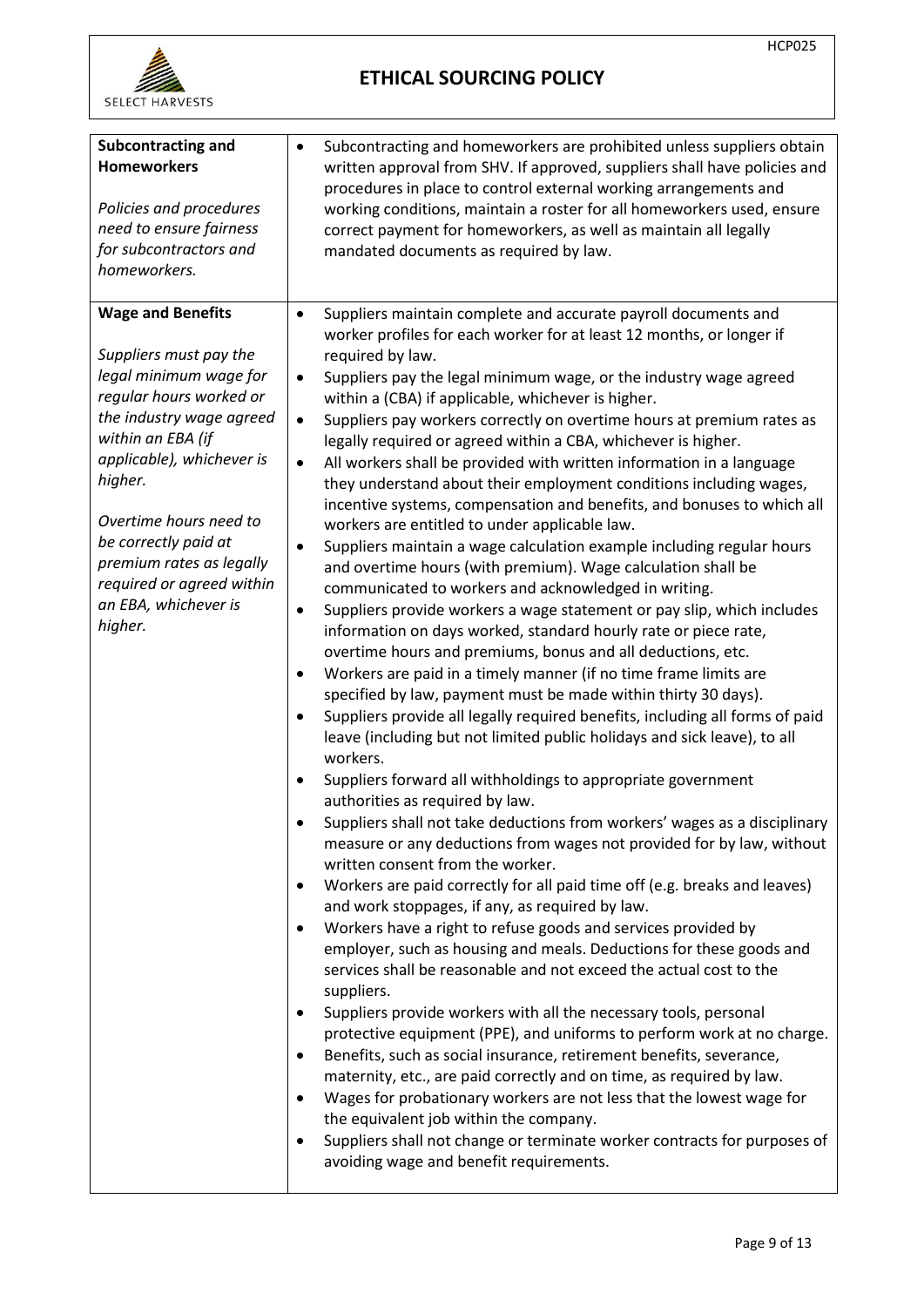

| <b>Subcontracting and</b><br>٠<br><b>Homeworkers</b><br>Policies and procedures<br>need to ensure fairness<br>for subcontractors and<br>homeworkers.                                                                                                                                                                                                                                                                                                                            | Subcontracting and homeworkers are prohibited unless suppliers obtain<br>written approval from SHV. If approved, suppliers shall have policies and<br>procedures in place to control external working arrangements and<br>working conditions, maintain a roster for all homeworkers used, ensure<br>correct payment for homeworkers, as well as maintain all legally<br>mandated documents as required by law.                                                                                                                                                                                                                                                                                                                                                                                                                                                                                                                                                                                                                                                                                                                                                                                                                                                                                                                                                                                                                                                                                                                                                                                                                                                                                                                                                                                                                                                                                                                                                                                                                                                                                                                                                                                                                                                                                                                                                                                                                                                                                                                                                                                                                     |
|---------------------------------------------------------------------------------------------------------------------------------------------------------------------------------------------------------------------------------------------------------------------------------------------------------------------------------------------------------------------------------------------------------------------------------------------------------------------------------|------------------------------------------------------------------------------------------------------------------------------------------------------------------------------------------------------------------------------------------------------------------------------------------------------------------------------------------------------------------------------------------------------------------------------------------------------------------------------------------------------------------------------------------------------------------------------------------------------------------------------------------------------------------------------------------------------------------------------------------------------------------------------------------------------------------------------------------------------------------------------------------------------------------------------------------------------------------------------------------------------------------------------------------------------------------------------------------------------------------------------------------------------------------------------------------------------------------------------------------------------------------------------------------------------------------------------------------------------------------------------------------------------------------------------------------------------------------------------------------------------------------------------------------------------------------------------------------------------------------------------------------------------------------------------------------------------------------------------------------------------------------------------------------------------------------------------------------------------------------------------------------------------------------------------------------------------------------------------------------------------------------------------------------------------------------------------------------------------------------------------------------------------------------------------------------------------------------------------------------------------------------------------------------------------------------------------------------------------------------------------------------------------------------------------------------------------------------------------------------------------------------------------------------------------------------------------------------------------------------------------------|
| <b>Wage and Benefits</b><br>$\bullet$<br>Suppliers must pay the<br>legal minimum wage for<br>$\bullet$<br>regular hours worked or<br>the industry wage agreed<br>$\bullet$<br>within an EBA (if<br>applicable), whichever is<br>$\bullet$<br>higher.<br>Overtime hours need to<br>be correctly paid at<br>٠<br>premium rates as legally<br>required or agreed within<br>an EBA, whichever is<br>$\bullet$<br>higher.<br>$\bullet$<br>$\bullet$<br>$\bullet$<br>٠<br>٠<br>٠<br>٠ | Suppliers maintain complete and accurate payroll documents and<br>worker profiles for each worker for at least 12 months, or longer if<br>required by law.<br>Suppliers pay the legal minimum wage, or the industry wage agreed<br>within a (CBA) if applicable, whichever is higher.<br>Suppliers pay workers correctly on overtime hours at premium rates as<br>legally required or agreed within a CBA, whichever is higher.<br>All workers shall be provided with written information in a language<br>they understand about their employment conditions including wages,<br>incentive systems, compensation and benefits, and bonuses to which all<br>workers are entitled to under applicable law.<br>Suppliers maintain a wage calculation example including regular hours<br>and overtime hours (with premium). Wage calculation shall be<br>communicated to workers and acknowledged in writing.<br>Suppliers provide workers a wage statement or pay slip, which includes<br>information on days worked, standard hourly rate or piece rate,<br>overtime hours and premiums, bonus and all deductions, etc.<br>Workers are paid in a timely manner (if no time frame limits are<br>specified by law, payment must be made within thirty 30 days).<br>Suppliers provide all legally required benefits, including all forms of paid<br>leave (including but not limited public holidays and sick leave), to all<br>workers.<br>Suppliers forward all withholdings to appropriate government<br>authorities as required by law.<br>Suppliers shall not take deductions from workers' wages as a disciplinary<br>measure or any deductions from wages not provided for by law, without<br>written consent from the worker.<br>Workers are paid correctly for all paid time off (e.g. breaks and leaves)<br>and work stoppages, if any, as required by law.<br>Workers have a right to refuse goods and services provided by<br>employer, such as housing and meals. Deductions for these goods and<br>services shall be reasonable and not exceed the actual cost to the<br>suppliers.<br>Suppliers provide workers with all the necessary tools, personal<br>protective equipment (PPE), and uniforms to perform work at no charge.<br>Benefits, such as social insurance, retirement benefits, severance,<br>maternity, etc., are paid correctly and on time, as required by law.<br>Wages for probationary workers are not less that the lowest wage for<br>the equivalent job within the company.<br>Suppliers shall not change or terminate worker contracts for purposes of<br>avoiding wage and benefit requirements. |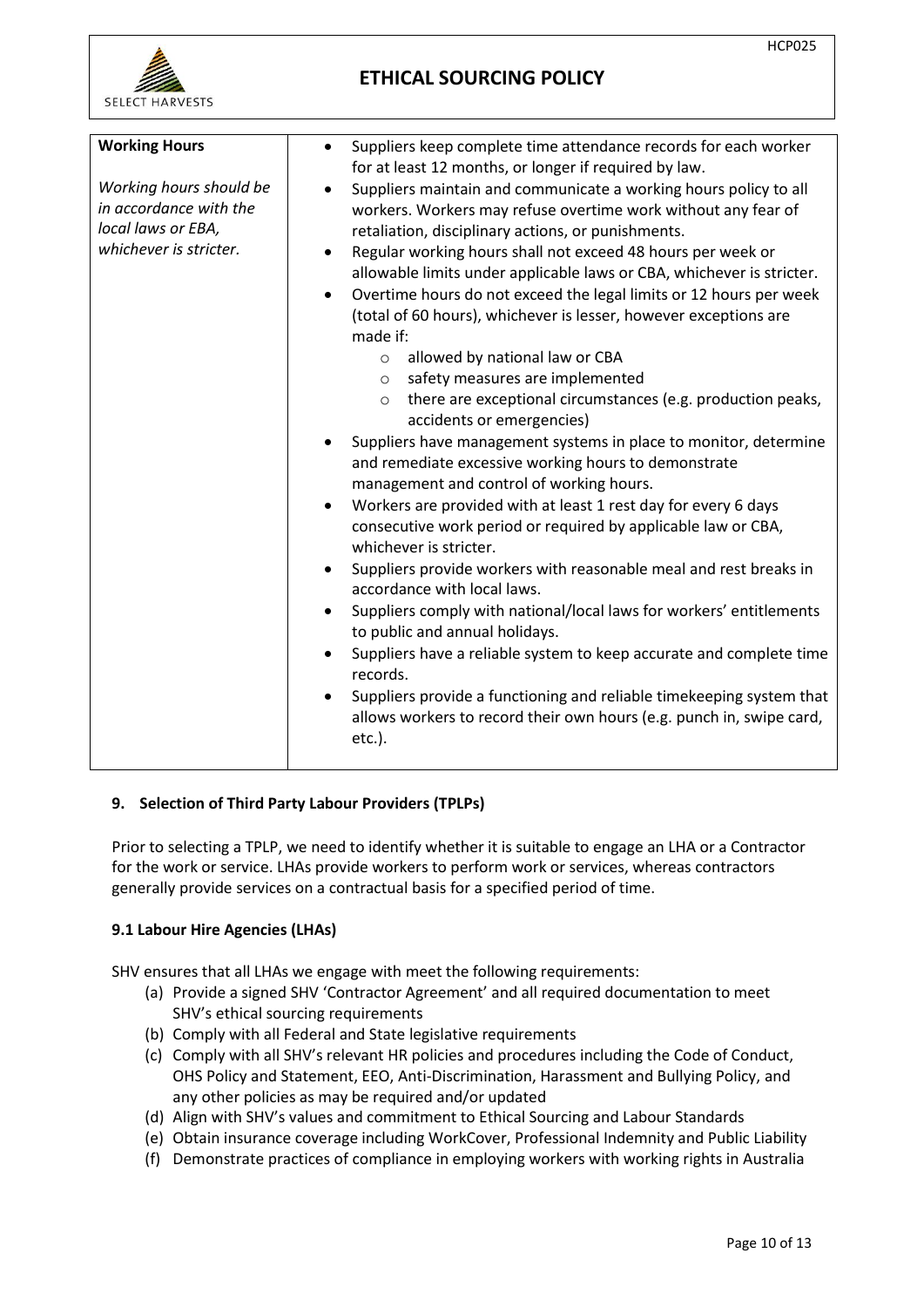

| <b>Working Hours</b>                                                                              | Suppliers keep complete time attendance records for each worker                                                                                                                                                                                                                                                                                                                                                                                                                                                                                                                                                                                                                                                                                                                                                                                                                                                                                                                                                                                                                                                                                                                                                                                            |
|---------------------------------------------------------------------------------------------------|------------------------------------------------------------------------------------------------------------------------------------------------------------------------------------------------------------------------------------------------------------------------------------------------------------------------------------------------------------------------------------------------------------------------------------------------------------------------------------------------------------------------------------------------------------------------------------------------------------------------------------------------------------------------------------------------------------------------------------------------------------------------------------------------------------------------------------------------------------------------------------------------------------------------------------------------------------------------------------------------------------------------------------------------------------------------------------------------------------------------------------------------------------------------------------------------------------------------------------------------------------|
| Working hours should be<br>in accordance with the<br>local laws or EBA,<br>whichever is stricter. | for at least 12 months, or longer if required by law.<br>Suppliers maintain and communicate a working hours policy to all<br>workers. Workers may refuse overtime work without any fear of<br>retaliation, disciplinary actions, or punishments.<br>Regular working hours shall not exceed 48 hours per week or<br>$\bullet$<br>allowable limits under applicable laws or CBA, whichever is stricter.<br>Overtime hours do not exceed the legal limits or 12 hours per week<br>$\bullet$<br>(total of 60 hours), whichever is lesser, however exceptions are<br>made if:<br>allowed by national law or CBA<br>$\circ$<br>safety measures are implemented<br>$\circ$<br>there are exceptional circumstances (e.g. production peaks,<br>$\circ$<br>accidents or emergencies)<br>Suppliers have management systems in place to monitor, determine<br>$\bullet$<br>and remediate excessive working hours to demonstrate<br>management and control of working hours.<br>Workers are provided with at least 1 rest day for every 6 days<br>$\bullet$<br>consecutive work period or required by applicable law or CBA,<br>whichever is stricter.<br>Suppliers provide workers with reasonable meal and rest breaks in<br>$\bullet$<br>accordance with local laws. |
|                                                                                                   | Suppliers comply with national/local laws for workers' entitlements<br>$\bullet$<br>to public and annual holidays.                                                                                                                                                                                                                                                                                                                                                                                                                                                                                                                                                                                                                                                                                                                                                                                                                                                                                                                                                                                                                                                                                                                                         |
|                                                                                                   | Suppliers have a reliable system to keep accurate and complete time<br>$\bullet$<br>records.                                                                                                                                                                                                                                                                                                                                                                                                                                                                                                                                                                                                                                                                                                                                                                                                                                                                                                                                                                                                                                                                                                                                                               |
|                                                                                                   | Suppliers provide a functioning and reliable timekeeping system that<br>allows workers to record their own hours (e.g. punch in, swipe card,<br>etc.).                                                                                                                                                                                                                                                                                                                                                                                                                                                                                                                                                                                                                                                                                                                                                                                                                                                                                                                                                                                                                                                                                                     |

## **9. Selection of Third Party Labour Providers (TPLPs)**

Prior to selecting a TPLP, we need to identify whether it is suitable to engage an LHA or a Contractor for the work or service. LHAs provide workers to perform work or services, whereas contractors generally provide services on a contractual basis for a specified period of time.

## **9.1 Labour Hire Agencies (LHAs)**

SHV ensures that all LHAs we engage with meet the following requirements:

- (a) Provide a signed SHV 'Contractor Agreement' and all required documentation to meet SHV's ethical sourcing requirements
- (b) Comply with all Federal and State legislative requirements
- (c) Comply with all SHV's relevant HR policies and procedures including the Code of Conduct, OHS Policy and Statement, EEO, Anti-Discrimination, Harassment and Bullying Policy, and any other policies as may be required and/or updated
- (d) Align with SHV's values and commitment to Ethical Sourcing and Labour Standards
- (e) Obtain insurance coverage including WorkCover, Professional Indemnity and Public Liability
- (f) Demonstrate practices of compliance in employing workers with working rights in Australia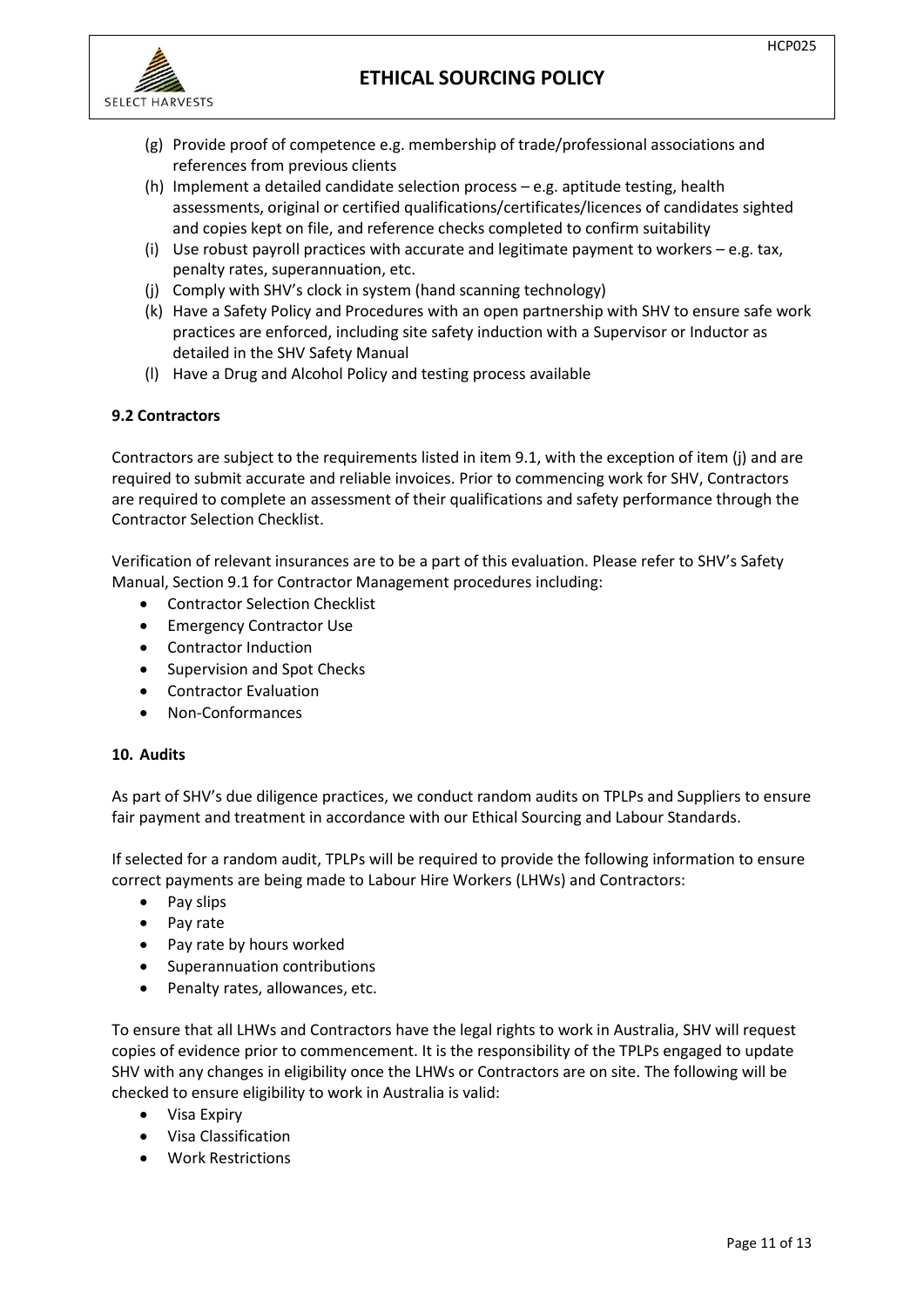



- (g) Provide proof of competence e.g. membership of trade/professional associations and references from previous clients
- (h) Implement a detailed candidate selection process e.g. aptitude testing, health assessments, original or certified qualifications/certificates/licences of candidates sighted and copies kept on file, and reference checks completed to confirm suitability
- (i) Use robust payroll practices with accurate and legitimate payment to workers e.g. tax, penalty rates, superannuation, etc.
- (j) Comply with SHV's clock in system (hand scanning technology)
- (k) Have a Safety Policy and Procedures with an open partnership with SHV to ensure safe work practices are enforced, including site safety induction with a Supervisor or Inductor as detailed in the SHV Safety Manual
- (l) Have a Drug and Alcohol Policy and testing process available

## **9.2 Contractors**

Contractors are subject to the requirements listed in item 9.1, with the exception of item (j) and are required to submit accurate and reliable invoices. Prior to commencing work for SHV, Contractors are required to complete an assessment of their qualifications and safety performance through the Contractor Selection Checklist.

Verification of relevant insurances are to be a part of this evaluation. Please refer to SHV's Safety Manual, Section 9.1 for Contractor Management procedures including:

- Contractor Selection Checklist
- Emergency Contractor Use
- Contractor Induction
- Supervision and Spot Checks
- Contractor Evaluation
- Non-Conformances

### **10. Audits**

As part of SHV's due diligence practices, we conduct random audits on TPLPs and Suppliers to ensure fair payment and treatment in accordance with our Ethical Sourcing and Labour Standards.

If selected for a random audit, TPLPs will be required to provide the following information to ensure correct payments are being made to Labour Hire Workers (LHWs) and Contractors:

- Pay slips
- Pay rate
- Pay rate by hours worked
- Superannuation contributions
- Penalty rates, allowances, etc.

To ensure that all LHWs and Contractors have the legal rights to work in Australia, SHV will request copies of evidence prior to commencement. It is the responsibility of the TPLPs engaged to update SHV with any changes in eligibility once the LHWs or Contractors are on site. The following will be checked to ensure eligibility to work in Australia is valid:

- Visa Expiry
- Visa Classification
- Work Restrictions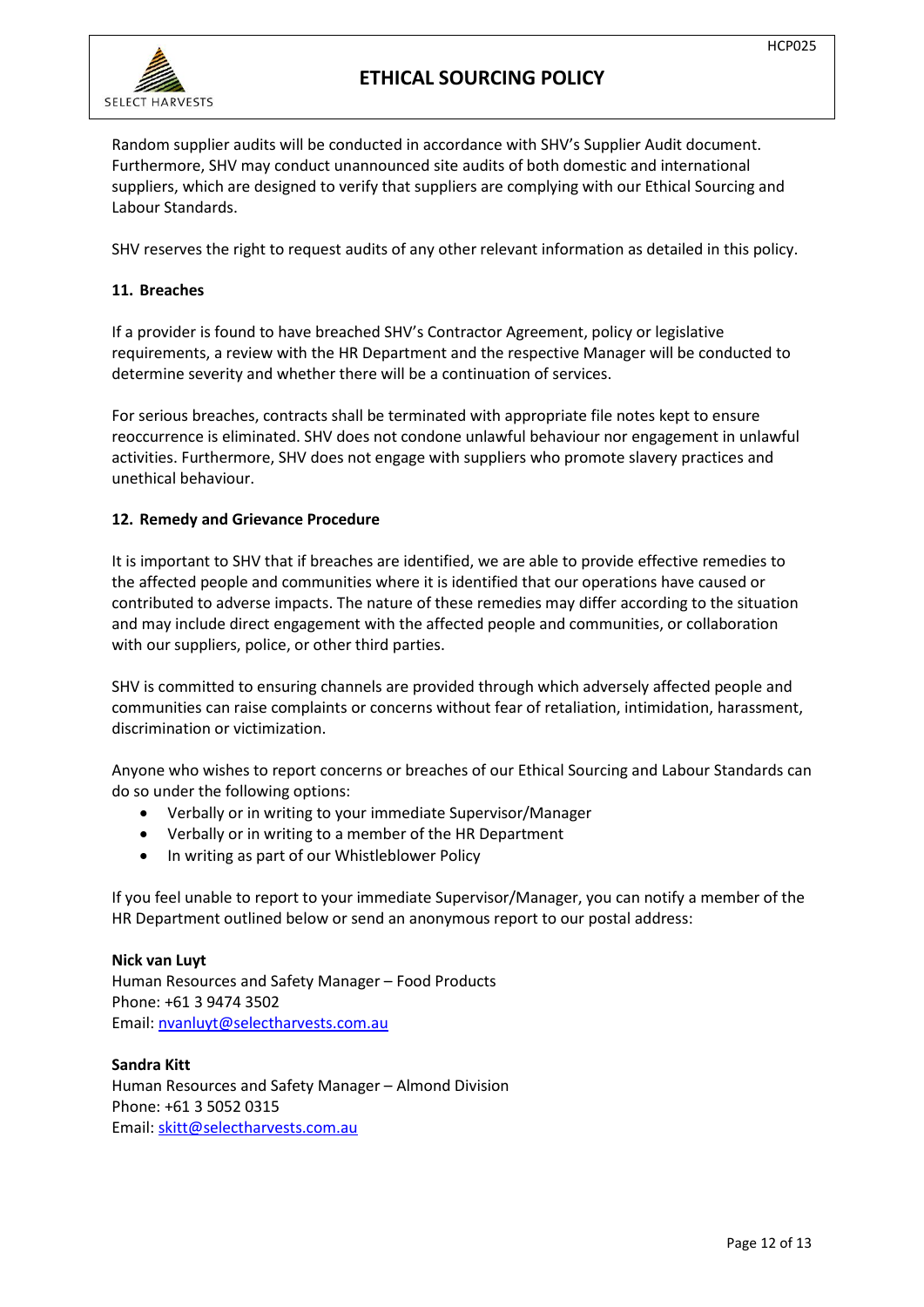

Random supplier audits will be conducted in accordance with SHV's Supplier Audit document. Furthermore, SHV may conduct unannounced site audits of both domestic and international suppliers, which are designed to verify that suppliers are complying with our Ethical Sourcing and Labour Standards.

SHV reserves the right to request audits of any other relevant information as detailed in this policy.

## **11. Breaches**

If a provider is found to have breached SHV's Contractor Agreement, policy or legislative requirements, a review with the HR Department and the respective Manager will be conducted to determine severity and whether there will be a continuation of services.

For serious breaches, contracts shall be terminated with appropriate file notes kept to ensure reoccurrence is eliminated. SHV does not condone unlawful behaviour nor engagement in unlawful activities. Furthermore, SHV does not engage with suppliers who promote slavery practices and unethical behaviour.

## **12. Remedy and Grievance Procedure**

It is important to SHV that if breaches are identified, we are able to provide effective remedies to the affected people and communities where it is identified that our operations have caused or contributed to adverse impacts. The nature of these remedies may differ according to the situation and may include direct engagement with the affected people and communities, or collaboration with our suppliers, police, or other third parties.

SHV is committed to ensuring channels are provided through which adversely affected people and communities can raise complaints or concerns without fear of retaliation, intimidation, harassment, discrimination or victimization.

Anyone who wishes to report concerns or breaches of our Ethical Sourcing and Labour Standards can do so under the following options:

- Verbally or in writing to your immediate Supervisor/Manager
- Verbally or in writing to a member of the HR Department
- In writing as part of our Whistleblower Policy

If you feel unable to report to your immediate Supervisor/Manager, you can notify a member of the HR Department outlined below or send an anonymous report to our postal address:

## **Nick van Luyt** Human Resources and Safety Manager – Food Products Phone: +61 3 9474 3502 Email: [nvanluyt@selectharvests.com.au](mailto:nvanluyt@selectharvests.com.au)

**Sandra Kitt** Human Resources and Safety Manager – Almond Division Phone: +61 3 5052 0315 Email: [skitt@selectharvests.com.au](mailto:skitt@selectharvests.com.au)